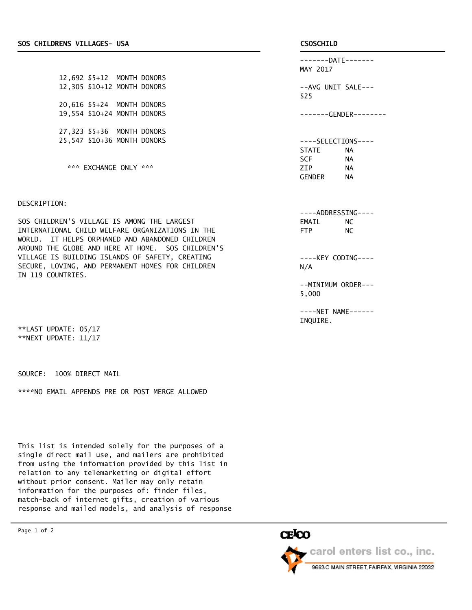12,692 \$5+12 MONTH DONORS 12,305 \$10+12 MONTH DONORS 20,616 \$5+24 MONTH DONORS 19,554 \$10+24 MONTH DONORS 27,323 \$5+36 MONTH DONORS 25,547 \$10+36 MONTH DONORS

\*\*\* EXCHANGE ONLY \*\*\*

## DESCRIPTION:

SOS CHILDREN'S VILLAGE IS AMONG THE LARGEST INTERNATIONAL CHILD WELFARE ORGANIZATIONS IN THE WORLD. IT HELPS ORPHANED AND ABANDONED CHILDREN AROUND THE GLOBE AND HERE AT HOME. SOS CHILDREN'S VILLAGE IS BUILDING ISLANDS OF SAFETY, CREATING SECURE, LOVING, AND PERMANENT HOMES FOR CHILDREN IN 119 COUNTRIES.

\*\*LAST UPDATE: 05/17 \*\*NEXT UPDATE: 11/17

SOURCE: 100% DIRECT MAIL

\*\*\*\*NO EMAIL APPENDS PRE OR POST MERGE ALLOWED

This list is intended solely for the purposes of a single direct mail use, and mailers are prohibited from using the information provided by this list in relation to any telemarketing or digital effort without prior consent. Mailer may only retain information for the purposes of: finder files, match-back of internet gifts, creation of various response and mailed models, and analysis of response

-------DATE------- MAY 2017 --AVG UNIT SALE---

\$25

-------GENDER--------

----SELECTIONS---- STATE NA SCF NA ZIP NA GENDER NA

----ADDRESSING---- EMAIL NC FTP NC

----KEY CODING---- N/A

--MINIMUM ORDER--- 5,000

----NET NAME------ INQUIRE.